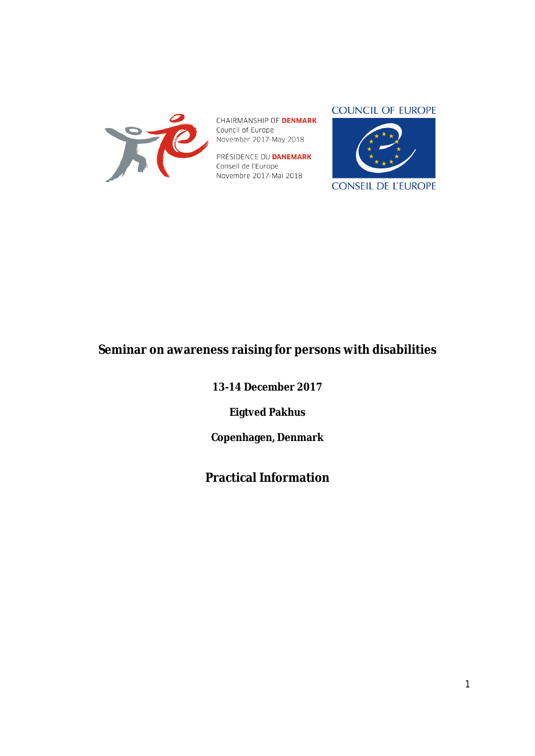

CHAIRMANSHIP OF **DENMARK** Council of Europe November 2017-May 2018

PRÉSIDENCE DU **DANEMARK** Conseil de l'Europe Novembre 2017-Mai 2018

#### **COUNCIL OF EUROPE**



# **Seminar on awareness raising for persons with disabilities**

**13-14 December 2017**

**Eigtved Pakhus**

**Copenhagen, Denmark**

**Practical Information**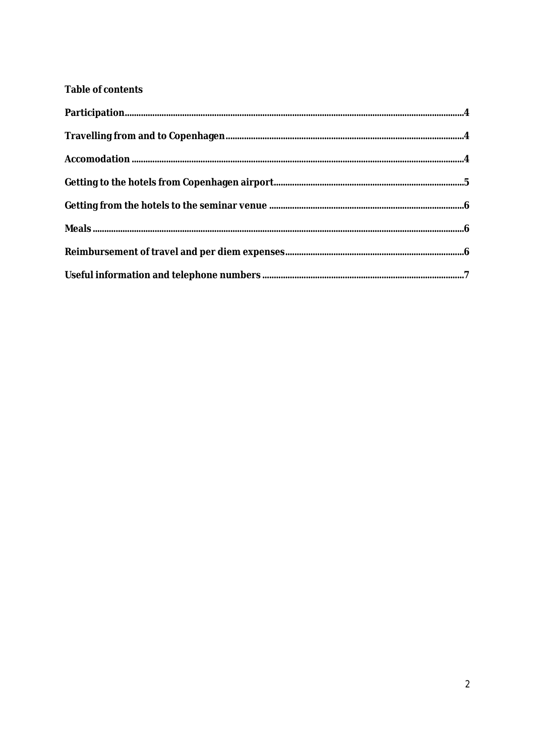#### Table of contents

<span id="page-1-0"></span>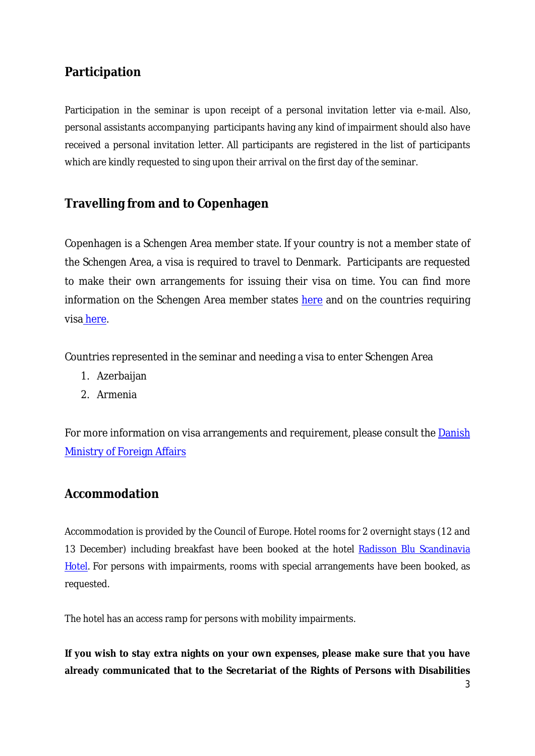# **Participation**

Participation in the seminar is upon receipt of a personal invitation letter via e-mail. Also, personal assistants accompanying participants having any kind of impairment should also have received a personal invitation letter. All participants are registered in the list of participants which are kindly requested to sing upon their arrival on the first day of the seminar.

# <span id="page-2-0"></span>**Travelling from and to Copenhagen**

Copenhagen is a Schengen Area member state. If your country is not a member state of the Schengen Area, a visa is required to travel to Denmark. Participants are requested to make their own arrangements for issuing their visa on time. You can find more information on the Schengen Area member states [here](https://www.schengenvisainfo.com/schengen-visa-countries-list/) and on the countries requiring vis[a here](https://www.schengenvisainfo.com/who-needs-schengen-visa/).

Countries represented in the seminar and needing a visa to enter Schengen Area

- 1. Azerbaijan
- 2. Armenia

For more information on visa arrangements and requirement, please consult the [Danish](http://um.dk/en/travel-and-residence/danish-visa-rules)  [Ministry of Foreign Affairs](http://um.dk/en/travel-and-residence/danish-visa-rules)

## <span id="page-2-1"></span>**Accommodation**

Accommodation is provided by the Council of Europe. Hotel rooms for 2 overnight stays (12 and 13 December) including breakfast have been booked at the hotel [Radisson Blu Scandinavia](https://www.radissonblu.com/en/scandinaviahotel-copenhagen)  [Hotel](https://www.radissonblu.com/en/scandinaviahotel-copenhagen). For persons with impairments, rooms with special arrangements have been booked, as requested.

The hotel has an access ramp for persons with mobility impairments.

**If you wish to stay extra nights on your own expenses, please make sure that you have already communicated that to the Secretariat of the Rights of Persons with Disabilities**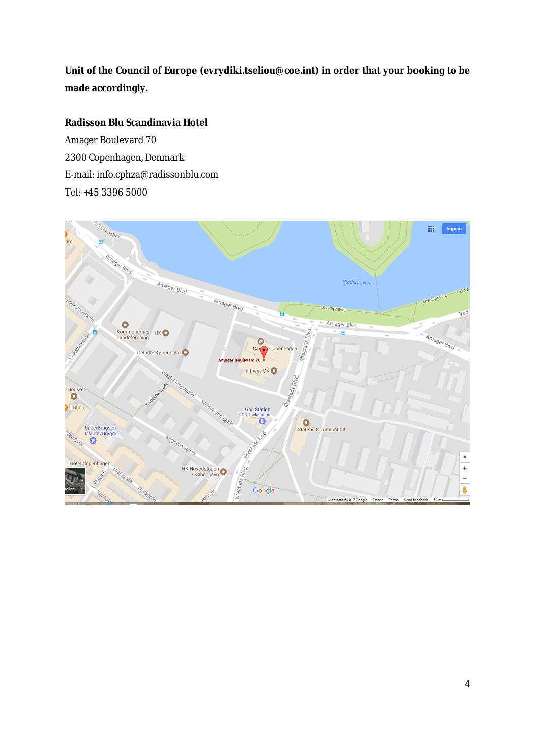**Unit of the Council of Europe (evrydiki.tseliou@coe.int) in order that your booking to be made accordingly.** 

**Radisson Blu Scandinavia Hotel** Amager Boulevard 70 2300 Copenhagen, Denmark E-mail: [info.cphza@radissonblu.com](mailto:info.cphza@radissonblu.com) Tel: +45 3396 5000

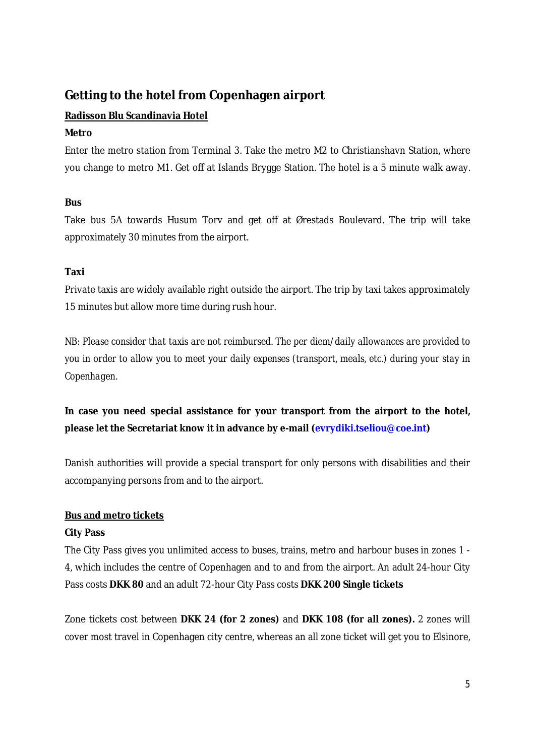# <span id="page-4-0"></span>**Getting to the hotel from Copenhagen airport**

## **Radisson Blu Scandinavia Hotel**

### **Metro**

Enter the metro station from Terminal 3. Take the metro M2 to Christianshavn Station, where you change to metro M1. Get off at Islands Brygge Station. The hotel is a 5 minute walk away.

### **Bus**

Take bus 5A towards Husum Torv and get off at Ørestads Boulevard. The trip will take approximately 30 minutes from the airport.

### **Taxi**

Private taxis are widely available right outside the airport. The trip by taxi takes approximately 15 minutes but allow more time during rush hour.

*NB: Please consider that taxis are not reimbursed. The per diem/daily allowances are provided to you in order to allow you to meet your daily expenses (transport, meals, etc.) during your stay in Copenhagen.* 

**In case you need special assistance for your transport from the airport to the hotel, please let the Secretariat know it in advance by e-mail ([evrydiki.tseliou@coe.int\)](mailto:evrydiki.tseliou@coe.int)**

Danish authorities will provide a special transport for only persons with disabilities and their accompanying persons from and to the airport.

### **Bus and metro tickets**

### **City Pass**

The City Pass gives you unlimited access to buses, trains, metro and harbour buses in zones 1 - 4, which includes the centre of Copenhagen and to and from the airport. An adult 24-hour City Pass costs **DKK 80** and an adult 72-hour City Pass costs **DKK 200 Single tickets** 

Zone tickets cost between **DKK 24 (for 2 zones)** and **DKK 108 (for all zones).** 2 zones will cover most travel in Copenhagen city centre, whereas an all zone ticket will get you to Elsinore,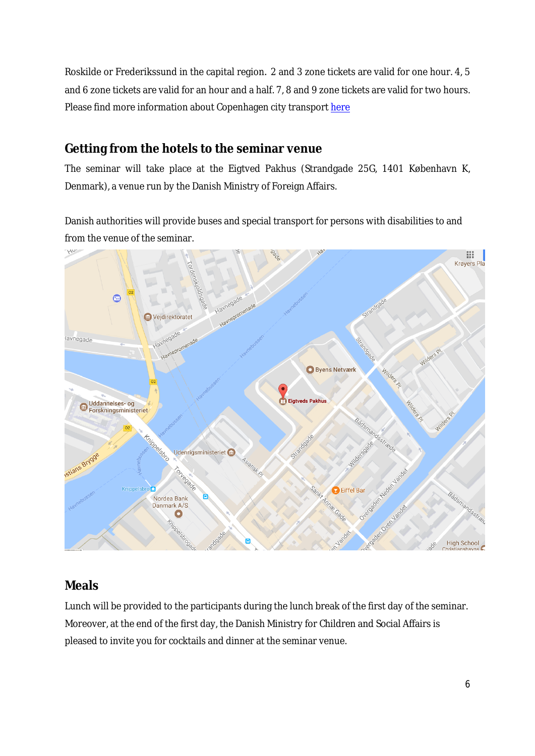Roskilde or Frederikssund in the capital region. 2 and 3 zone tickets are valid for one hour. 4, 5 and 6 zone tickets are valid for an hour and a half. 7, 8 and 9 zone tickets are valid for two hours. Please find more information about Copenhagen city transport [here](http://www.visitcopenhagen.com/copenhagen/transportation/tickets-prices)

## <span id="page-5-0"></span>**Getting from the hotels to the seminar venue**

The seminar will take place at the Eigtved Pakhus (Strandgade 25G, 1401 København K, Denmark), a venue run by the Danish Ministry of Foreign Affairs.

Danish authorities will provide buses and special transport for persons with disabilities to and from the venue of the seminar.



## <span id="page-5-1"></span>**Meals**

Lunch will be provided to the participants during the lunch break of the first day of the seminar. Moreover, at the end of the first day, the Danish Ministry for Children and Social Affairs is pleased to invite you for cocktails and dinner at the seminar venue.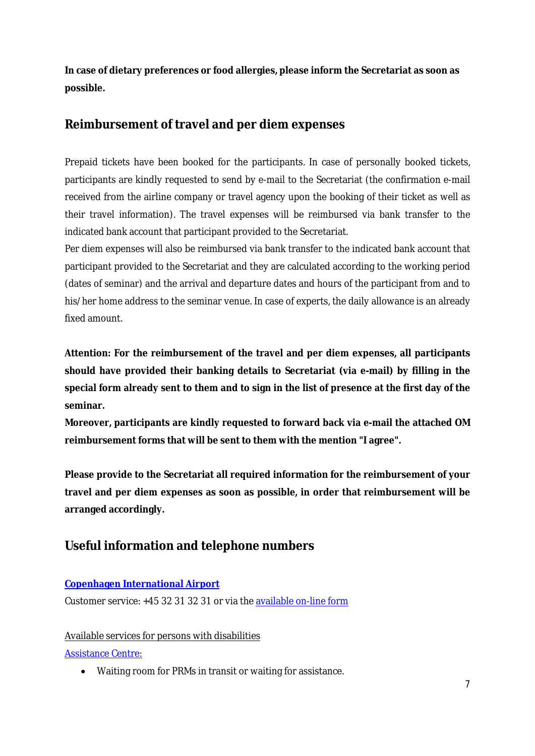**In case of dietary preferences or food allergies, please inform the Secretariat as soon as possible.** 

## <span id="page-6-0"></span>**Reimbursement of travel and per diem expenses**

Prepaid tickets have been booked for the participants. In case of personally booked tickets, participants are kindly requested to send by e-mail to the Secretariat (the confirmation e-mail received from the airline company or travel agency upon the booking of their ticket as well as their travel information). The travel expenses will be reimbursed via bank transfer to the indicated bank account that participant provided to the Secretariat.

Per diem expenses will also be reimbursed via bank transfer to the indicated bank account that participant provided to the Secretariat and they are calculated according to the working period (dates of seminar) and the arrival and departure dates and hours of the participant from and to his/her home address to the seminar venue. In case of experts, the daily allowance is an already fixed amount.

**Attention: For the reimbursement of the travel and per diem expenses, all participants should have provided their banking details to Secretariat (via e-mail) by filling in the special form already sent to them and to sign in the list of presence at the first day of the seminar.**

**Moreover, participants are kindly requested to forward back via e-mail the attached OM reimbursement forms that will be sent to them with the mention "I agree".** 

**Please provide to the Secretariat all required information for the reimbursement of your travel and per diem expenses as soon as possible, in order that reimbursement will be arranged accordingly.** 

## <span id="page-6-1"></span>**Useful information and telephone numbers**

#### **[Copenhagen International Airport](https://www.cph.dk/en/)**

Customer service: +45 32 31 32 31 or via the [available on-line form](http://www.customerservice.cph.dk/?cf=1&l=en_US)

#### Available services for persons with disabilities

[Assistance Centre:](https://www.cph.dk/en/practical/travelers-with-disabilities/Assistance-Centre/)

Waiting room for PRMs in transit or waiting for assistance.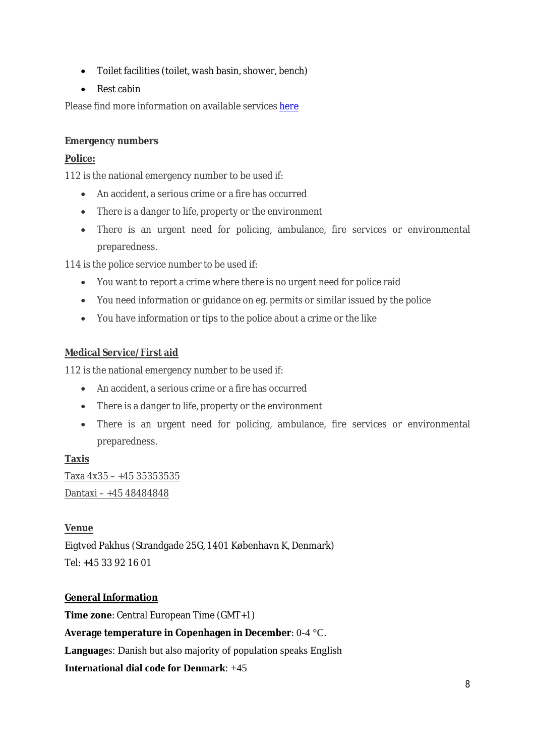- Toilet facilities (toilet, wash basin, shower, bench)
- Rest cabin

Please find more information on available services [here](https://www.cph.dk/en/practical/travelers-with-disabilities/Assistance-Centre/)

#### **Emergency numbers**

#### **Police:**

112 is the national emergency number to be used if:

- An accident, a serious crime or a fire has occurred
- There is a danger to life, property or the environment
- There is an urgent need for policing, ambulance, fire services or environmental preparedness.

114 is the police service number to be used if:

- You want to report a crime where there is no urgent need for police raid
- You need information or guidance on eg. permits or similar issued by the police
- You have information or tips to the police about a crime or the like

#### **Medical Service/First aid**

112 is the national emergency number to be used if:

- An accident, a serious crime or a fire has occurred
- There is a danger to life, property or the environment
- There is an urgent need for policing, ambulance, fire services or environmental preparedness.

**Taxis**  Taxa 4x35 – +45 35353535 Dantaxi – +45 48484848

**Venue**  Eigtved Pakhus (Strandgade 25G, 1401 København K, Denmark) Tel: +45 33 92 16 01

#### **General Information**

**Time zone**: Central European Time (GMT+1)

**Average temperature in Copenhagen in December**: 0-4 °C.

**Language**s: Danish but also majority of population speaks English

**International dial code for Denmark**: +45